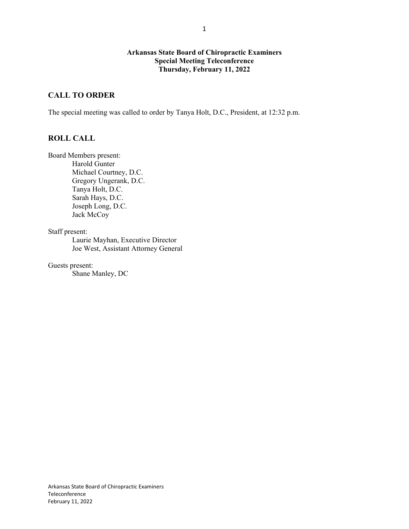## **Arkansas State Board of Chiropractic Examiners Special Meeting Teleconference Thursday, February 11, 2022**

# **CALL TO ORDER**

The special meeting was called to order by Tanya Holt, D.C., President, at 12:32 p.m.

#### **ROLL CALL**

Board Members present: Harold Gunter Michael Courtney, D.C. Gregory Ungerank, D.C. Tanya Holt, D.C. Sarah Hays, D.C. Joseph Long, D.C. Jack McCoy

Staff present:

Laurie Mayhan, Executive Director Joe West, Assistant Attorney General

Guests present:

Shane Manley, DC